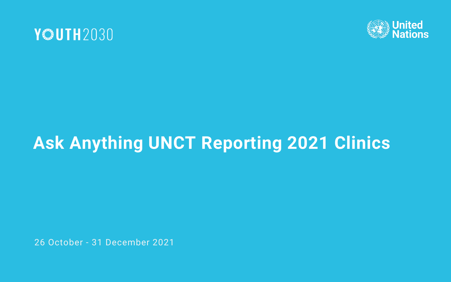



# **Ask Anything UNCT Reporting 2021 Clinics**

26 October - 31 December 2021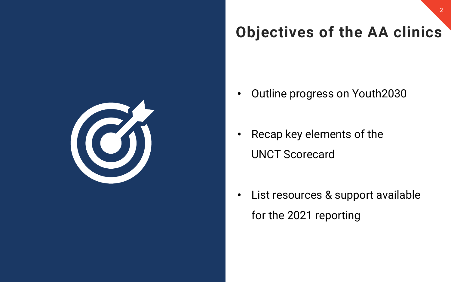

## **Objectives of the AA clinics**

- Outline progress on Youth2030
- Recap key elements of the UNCT Scorecard
- List resources & support available for the 2021 reporting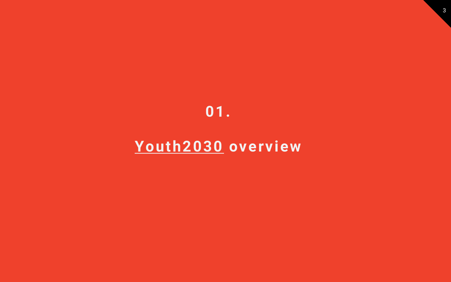#### **01.**

#### **[Youth2030](https://5d962978-9e17-4b96-91be-93983605fae8.filesusr.com/ugd/b1d674_9f63445fc59a41b6bb50cbd4f800922b.pdf) overview**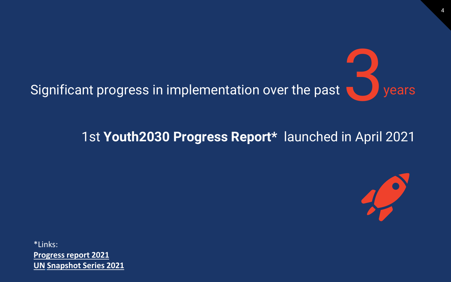

#### 1st **Youth2030 Progress Report\*** launched in April 2021



\*Links: **[Progress report 2021](https://5d962978-9e17-4b96-91be-93983605fae8.filesusr.com/ugd/b1d674_731b4ac5aa674c6dbe087e96a9150872.pdf) UN [Snapshot Series 2021](https://5d962978-9e17-4b96-91be-93983605fae8.filesusr.com/ugd/b1d674_13da945cf1214ad2a07939c889803be9.pdf)**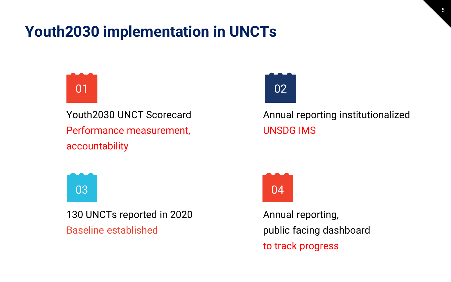#### **Youth2030 implementation in UNCTs**



Youth2030 UNCT Scorecard Performance measurement, accountability



130 UNCTs reported in 2020 Baseline established



Annual reporting institutionalized UNSDG IMS



Annual reporting, public facing dashboard to track progress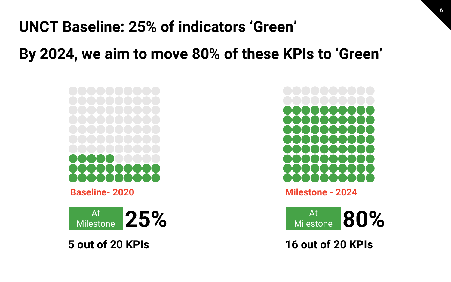## **UNCT Baseline: 25% of indicators 'Green'**

**By 2024, we aim to move 80% of these KPIs to 'Green'** 

**Baseline- 2020**

**25%** At<br>Milestone

**5 out of 20 KPIs**



6

**Milestone - 2024**

Milestone **80%** At Milestone

**16 out of 20 KPIs**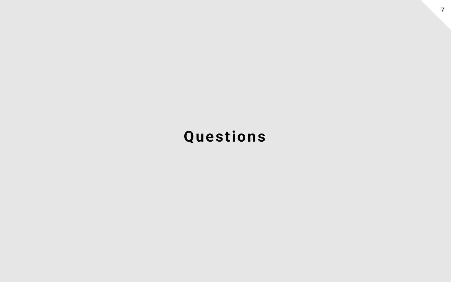#### **Questions**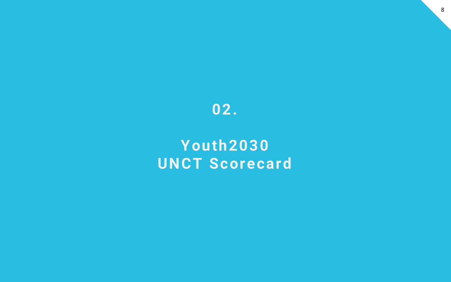

#### **Youth2030 UNCT Scorecard**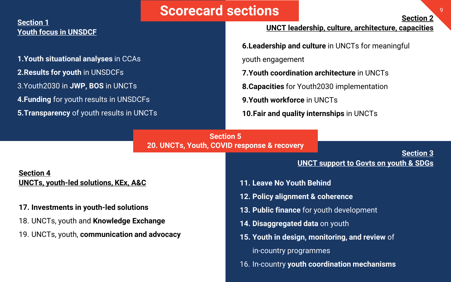#### **1.Youth situational analyses** in CCAs **2.Results for youth** in UNSDCFs 3.Youth2030 in **JWP, BOS** in UNCTs **4.Funding** for youth results in UNSDCFs **5.Transparency** of youth results in UNCTs **Section 5 Section 1 Youth focus in UNSDCF Scorecard sections Proposed Sections**

**Section 4 UNCTs, youth-led solutions, KEx, A&C** 

#### **17. Investments in youth-led solutions**

- 18. UNCTs, youth and **Knowledge Exchange**
- 19. UNCTs, youth, **communication and advocacy**

#### **UNCT leadership, culture, architecture, capacities**

**6.Leadership and culture** in UNCTs for meaningful

youth engagement

**7.Youth coordination architecture** in UNCTs

**8.Capacities** for Youth2030 implementation

**9.Youth workforce** in UNCTs

**10.Fair and quality internships** in UNCTs

## **20. UNCTs, Youth, COVID response & recovery**

**Section 3 UNCT support to Govts on youth & SDGs**

- **11. Leave No Youth Behind**
- **12. Policy alignment & coherence**
- **13. Public finance** for youth development
- **14. Disaggregated data** on youth
- **15. Youth in design, monitoring, and review** of in-country programmes
- 16. In-country **youth coordination mechanisms**

**Section 2**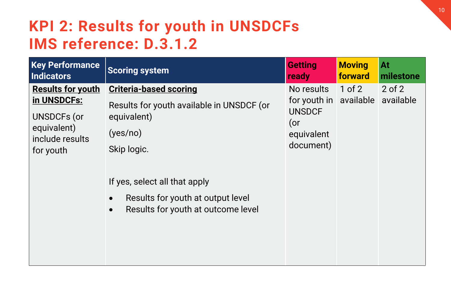#### **KPI 2: Results for youth in UNSDCFs IMS reference: D.3.1.2**

| <b>Key Performance</b><br>Indicators                                                                  | <b>Scoring system</b>                                                                                                              | <b>Getting</b><br>ready                                                     | <b>Moving</b><br>forward | At<br>milestone         |
|-------------------------------------------------------------------------------------------------------|------------------------------------------------------------------------------------------------------------------------------------|-----------------------------------------------------------------------------|--------------------------|-------------------------|
| <b>Results for youth</b><br>in UNSDCFs:<br>UNSDCFs (or<br>equivalent)<br>include results<br>for youth | <b>Criteria-based scoring</b><br>Results for youth available in UNSDCF (or<br>equivalent)<br>(yes/no)<br>Skip logic.               | No results<br>for youth in<br><b>UNSDCF</b><br>(<br>equivalent<br>document) | $1$ of $2$<br>available  | $2$ of $2$<br>available |
|                                                                                                       | If yes, select all that apply<br>Results for youth at output level<br>$\bullet$<br>Results for youth at outcome level<br>$\bullet$ |                                                                             |                          |                         |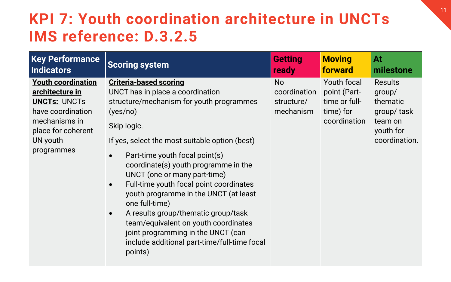#### **KPI 7: Youth coordination architecture in UNCTs IMS reference: D.3.2.5**

| <b>Key Performance</b>                                                                                                                                    | <b>Scoring system</b>                                                                                                                                                                                                                                                                                                                                                                                                                                                                                                                                                                                                | <b>Getting</b>                                       | <b>Moving</b>                                                             | At                                                                                   |
|-----------------------------------------------------------------------------------------------------------------------------------------------------------|----------------------------------------------------------------------------------------------------------------------------------------------------------------------------------------------------------------------------------------------------------------------------------------------------------------------------------------------------------------------------------------------------------------------------------------------------------------------------------------------------------------------------------------------------------------------------------------------------------------------|------------------------------------------------------|---------------------------------------------------------------------------|--------------------------------------------------------------------------------------|
| <b>Indicators</b>                                                                                                                                         |                                                                                                                                                                                                                                                                                                                                                                                                                                                                                                                                                                                                                      | ready                                                | forward                                                                   | milestone                                                                            |
| <b>Youth coordination</b><br>architecture in<br><b>UNCTs: UNCTs</b><br>have coordination<br>mechanisms in<br>place for coherent<br>UN youth<br>programmes | <b>Criteria-based scoring</b><br>UNCT has in place a coordination<br>structure/mechanism for youth programmes<br>(yes/no)<br>Skip logic.<br>If yes, select the most suitable option (best)<br>Part-time youth focal point(s)<br>coordinate(s) youth programme in the<br>UNCT (one or many part-time)<br>Full-time youth focal point coordinates<br>$\bullet$<br>youth programme in the UNCT (at least<br>one full-time)<br>A results group/thematic group/task<br>$\bullet$<br>team/equivalent on youth coordinates<br>joint programming in the UNCT (can<br>include additional part-time/full-time focal<br>points) | <b>No</b><br>coordination<br>structure/<br>mechanism | Youth focal<br>point (Part-<br>time or full-<br>time) for<br>coordination | Results<br>group/<br>thematic<br>group/task<br>team on<br>youth for<br>coordination. |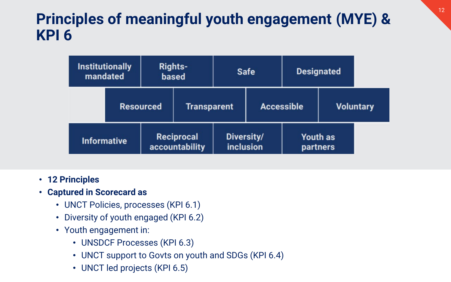#### **Principles of meaningful youth engagement (MYE) & KPI 6**

| <b>Institutionally</b><br>mandated |                  | <b>Rights-</b><br><b>Safe</b><br>based |                                |                   |  | <b>Designated</b>    |  |
|------------------------------------|------------------|----------------------------------------|--------------------------------|-------------------|--|----------------------|--|
|                                    | <b>Resourced</b> | <b>Transparent</b>                     |                                | <b>Accessible</b> |  | <b>Voluntary</b>     |  |
| <b>Informative</b>                 |                  | Reciprocal<br>accountability           | Diversity/<br><b>inclusion</b> |                   |  | Youth as<br>partners |  |

- **12 Principles**
- **Captured in Scorecard as**
	- UNCT Policies, processes (KPI 6.1)
	- Diversity of youth engaged (KPI 6.2)
	- Youth engagement in:
		- UNSDCF Processes (KPI 6.3)
		- UNCT support to Govts on youth and SDGs (KPI 6.4)
		- UNCT led projects (KPI 6.5)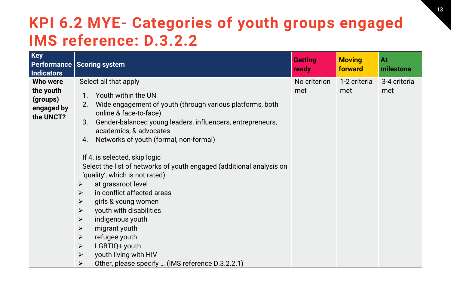#### **KPI 6.2 MYE- Categories of youth groups engaged IMS reference: D.3.2.2**

| <b>Key</b><br><b>Indicators</b>                              | Performance Scoring system                                                                                                                                                                                                                                                                                                                                                                                                                                                        | <b>Getting</b><br>ready | <b>Moving</b><br>forward | At<br>milestone     |
|--------------------------------------------------------------|-----------------------------------------------------------------------------------------------------------------------------------------------------------------------------------------------------------------------------------------------------------------------------------------------------------------------------------------------------------------------------------------------------------------------------------------------------------------------------------|-------------------------|--------------------------|---------------------|
| Who were<br>the youth<br>(groups)<br>engaged by<br>the UNCT? | Select all that apply<br>Youth within the UN<br>2.<br>Wide engagement of youth (through various platforms, both<br>online & face-to-face)<br>3.<br>Gender-balanced young leaders, influencers, entrepreneurs,<br>academics, & advocates<br>Networks of youth (formal, non-formal)<br>4.<br>If 4. is selected, skip logic<br>Select the list of networks of youth engaged (additional analysis on<br>'quality', which is not rated)<br>at grassroot level<br>$\blacktriangleright$ | No criterion<br>met     | 1-2 criteria<br>met      | 3-4 criteria<br>met |
|                                                              | in conflict-affected areas<br>$\blacktriangleright$<br>$\blacktriangleright$<br>girls & young women<br>youth with disabilities<br>$\blacktriangleright$<br>indigenous youth<br>$\blacktriangleright$<br>migrant youth<br>$\blacktriangleright$<br>refugee youth<br>$\blacktriangleright$<br>LGBTIQ+ youth<br>$\blacktriangleright$<br>youth living with HIV<br>$\blacktriangleright$<br>Other, please specify  (IMS reference D.3.2.2.1)<br>$\blacktriangleright$                 |                         |                          |                     |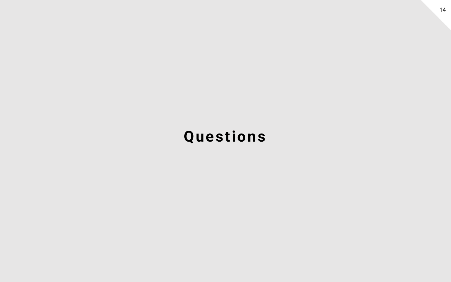#### **Questions**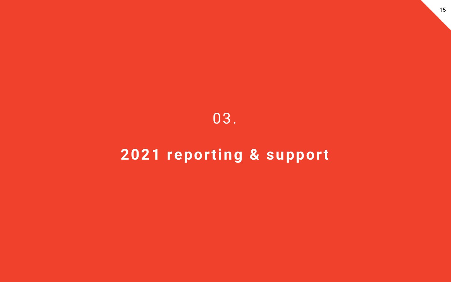#### 03.

### **2021 reporting & support**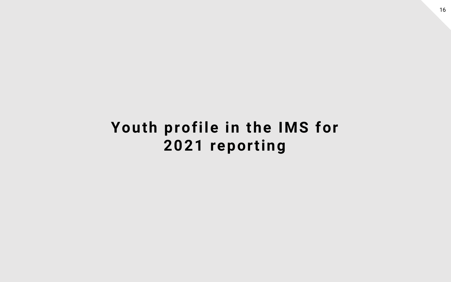#### **Youth profile in the IMS for 2021 reporting**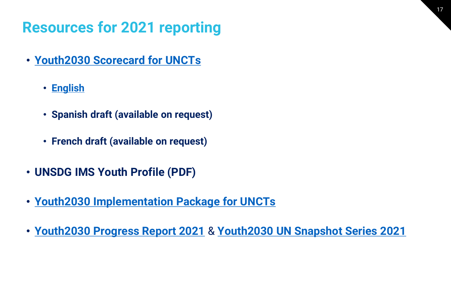## **Resources for 2021 reporting**

- **[Youth2030 Scorecard for UNCTs](https://www.unyouth2030.com/unctscorecard)** 
	- **[English](https://5d962978-9e17-4b96-91be-93983605fae8.filesusr.com/ugd/b1d674_92659373151144a1bfa7ca67ccc608c0.pdf)**
	- **Spanish draft (available on request)**
	- **French draft (available on request)**
- **UNSDG IMS Youth Profile (PDF)**
- **[Youth2030 Implementation Package for UNCTs](https://www.unyouth2030.com/resourcestools)**
- **[Youth2030 Progress Report 2021](https://5d962978-9e17-4b96-91be-93983605fae8.filesusr.com/ugd/b1d674_731b4ac5aa674c6dbe087e96a9150872.pdf)** & **[Youth2030 UN Snapshot Series 2021](https://5d962978-9e17-4b96-91be-93983605fae8.filesusr.com/ugd/b1d674_13da945cf1214ad2a07939c889803be9.pdf)**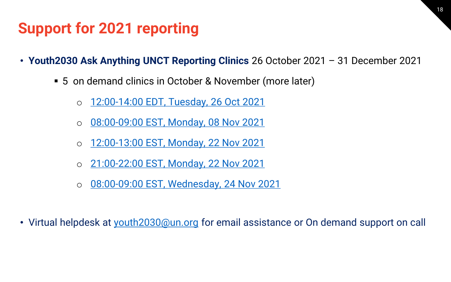#### **Support for 2021 reporting**

- **Youth2030 Ask Anything UNCT Reporting Clinics** 26 October 2021 31 December 2021
	- 5 on demand clinics in October & November (more later)
		- o [12:00-14:00 EDT, Tuesday, 26 Oct 2021](https://teams.microsoft.com/l/meetup-join/19%3ameeting_ZTJlOTZmMzQtZjRlMC00N2E0LTkzOTAtOGIxMjlmNjI1MmJi%40thread.v2/0?context=%7b%22Tid%22%3a%220f9e35db-544f-4f60-bdcc-5ea416e6dc70%22%2c%22Oid%22%3a%228bfd30e8-9627-4fa0-963d-f4eb72163c26%22%7d)
		- o [08:00-09:00 EST, Monday, 08 Nov 2021](https://teams.microsoft.com/l/meetup-join/19%3ameeting_MzBjZmMyMDktMjMxYi00YjQ5LWExZjItZDdlMTE5NjI5YjY0%40thread.v2/0?context=%7b%22Tid%22%3a%220f9e35db-544f-4f60-bdcc-5ea416e6dc70%22%2c%22Oid%22%3a%228bfd30e8-9627-4fa0-963d-f4eb72163c26%22%7d)
		- o [12:00-13:00 EST, Monday, 22 Nov 2021](https://teams.microsoft.com/l/meetup-join/19%3ameeting_N2ViYWVjZDMtY2NlMS00YmFjLTljNjctMjIzMmRjODhmM2Rj%40thread.v2/0?context=%7b%22Tid%22%3a%220f9e35db-544f-4f60-bdcc-5ea416e6dc70%22%2c%22Oid%22%3a%228bfd30e8-9627-4fa0-963d-f4eb72163c26%22%7d)
		- o [21:00-22:00 EST, Monday, 22 Nov 2021](https://teams.microsoft.com/l/meetup-join/19%3ameeting_NGI4MWUwN2QtMGJiNy00OWZiLTg4NjgtNzU1MWFlMjFkOThj%40thread.v2/0?context=%7b%22Tid%22%3a%220f9e35db-544f-4f60-bdcc-5ea416e6dc70%22%2c%22Oid%22%3a%228bfd30e8-9627-4fa0-963d-f4eb72163c26%22%7d)
		- o [08:00-09:00 EST, Wednesday, 24 Nov 2021](https://teams.microsoft.com/l/meetup-join/19%3ameeting_YWMxOThlY2EtMTZlOC00YzliLTk0MmUtMzQ3ZWZhOWVhZjFh%40thread.v2/0?context=%7b%22Tid%22%3a%220f9e35db-544f-4f60-bdcc-5ea416e6dc70%22%2c%22Oid%22%3a%228bfd30e8-9627-4fa0-963d-f4eb72163c26%22%7d)
- Virtual helpdesk at [youth2030@un.org](mailto:youth2030@un.org) for email assistance or On demand support on call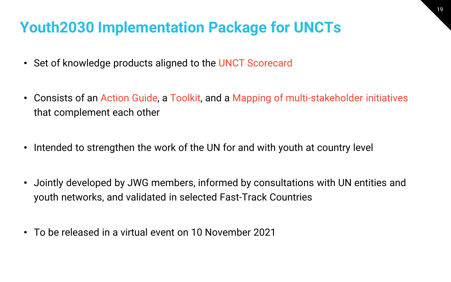#### **Youth2030 Implementation Package for UNCTs**

- Set of knowledge products aligned to the UNCT Scorecard
- Consists of an Action Guide, a Toolkit, and a Mapping of multi-stakeholder initiatives that complement each other
- Intended to strengthen the work of the UN for and with youth at country level
- Jointly developed by JWG members, informed by consultations with UN entities and youth networks, and validated in selected Fast-Track Countries
- To be released in a virtual event on 10 November 2021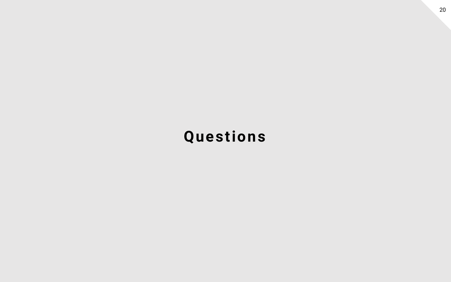## **Questions**